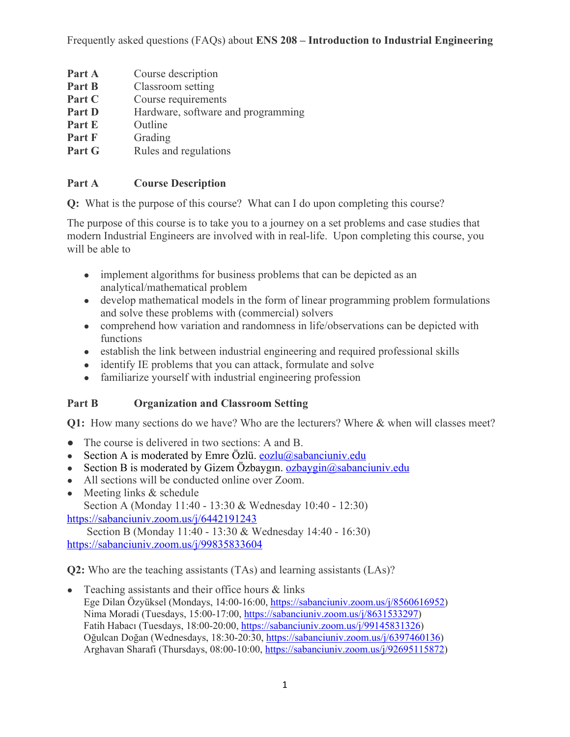- **Part A** Course description **Part B** Classroom setting **Part C** Course requirements **Part D** Hardware, software and programming **Part E** Outline
- Part F Grading
- **Part G** Rules and regulations

#### **Part A Course Description**

**Q:** What is the purpose of this course? What can I do upon completing this course?

The purpose of this course is to take you to a journey on a set problems and case studies that modern Industrial Engineers are involved with in real-life. Upon completing this course, you will be able to

- implement algorithms for business problems that can be depicted as an analytical/mathematical problem
- develop mathematical models in the form of linear programming problem formulations and solve these problems with (commercial) solvers
- comprehend how variation and randomness in life/observations can be depicted with functions
- establish the link between industrial engineering and required professional skills
- identify IE problems that you can attack, formulate and solve
- familiarize yourself with industrial engineering profession

#### **Part B Organization and Classroom Setting**

**Q1:** How many sections do we have? Who are the lecturers? Where & when will classes meet?

- The course is delivered in two sections: A and B.
- Section A is moderated by Emre Özlü. eozlu $@$ sabanciuniv.edu
- Section B is moderated by Gizem Özbaygın. ozbaygin $@$ sabanciuniv.edu
- All sections will be conducted online over Zoom.
- Meeting links  $&$  schedule

Section A (Monday 11:40 - 13:30 & Wednesday 10:40 - 12:30) https://sabanciuniv.zoom.us/j/6442191243

Section B (Monday 11:40 - 13:30 & Wednesday 14:40 - 16:30) https://sabanciuniv.zoom.us/j/99835833604

**Q2:** Who are the teaching assistants (TAs) and learning assistants (LAs)?

• Teaching assistants and their office hours  $\&$  links Ege Dilan Özyüksel (Mondays, 14:00-16:00, https://sabanciuniv.zoom.us/j/8560616952) Nima Moradi (Tuesdays, 15:00-17:00, https://sabanciuniv.zoom.us/j/8631533297) Fatih Habacı (Tuesdays, 18:00-20:00, https://sabanciuniv.zoom.us/j/99145831326) Oğulcan Doğan (Wednesdays, 18:30-20:30, https://sabanciuniv.zoom.us/j/6397460136) Arghavan Sharafi (Thursdays, 08:00-10:00, https://sabanciuniv.zoom.us/j/92695115872)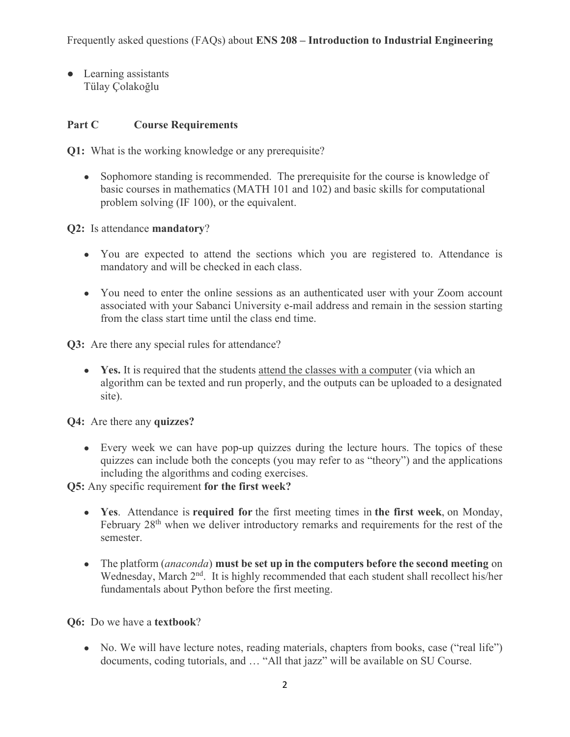● Learning assistants Tülay Çolakoğlu

# **Part C Course Requirements**

**Q1:** What is the working knowledge or any prerequisite?

• Sophomore standing is recommended. The prerequisite for the course is knowledge of basic courses in mathematics (MATH 101 and 102) and basic skills for computational problem solving (IF 100), or the equivalent.

**Q2:** Is attendance **mandatory**?

- You are expected to attend the sections which you are registered to. Attendance is mandatory and will be checked in each class.
- You need to enter the online sessions as an authenticated user with your Zoom account associated with your Sabanci University e-mail address and remain in the session starting from the class start time until the class end time.

**Q3:** Are there any special rules for attendance?

• Yes. It is required that the students attend the classes with a computer (via which an algorithm can be texted and run properly, and the outputs can be uploaded to a designated site).

**Q4:** Are there any **quizzes?**

• Every week we can have pop-up quizzes during the lecture hours. The topics of these quizzes can include both the concepts (you may refer to as "theory") and the applications including the algorithms and coding exercises.

**Q5:** Any specific requirement **for the first week?**

- **Yes**. Attendance is **required for** the first meeting times in **the first week**, on Monday, February 28<sup>th</sup> when we deliver introductory remarks and requirements for the rest of the semester.
- The platform (*anaconda*) **must be set up in the computers before the second meeting** on Wednesday, March 2<sup>nd</sup>. It is highly recommended that each student shall recollect his/her fundamentals about Python before the first meeting.

**Q6:** Do we have a **textbook**?

• No. We will have lecture notes, reading materials, chapters from books, case ("real life") documents, coding tutorials, and … "All that jazz" will be available on SU Course.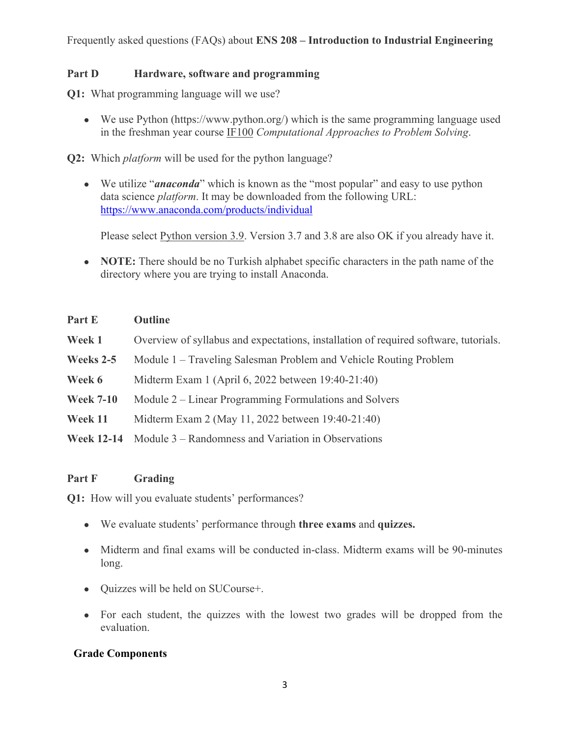Frequently asked questions (FAQs) about **ENS 208 – Introduction to Industrial Engineering**

#### **Part D Hardware, software and programming**

**Q1:** What programming language will we use?

• We use Python (https://www.python.org/) which is the same programming language used in the freshman year course IF100 *Computational Approaches to Problem Solving*.

**Q2:** Which *platform* will be used for the python language?

• We utilize "*anaconda*" which is known as the "most popular" and easy to use python data science *platform*. It may be downloaded from the following URL: https://www.anaconda.com/products/individual

Please select Python version 3.9. Version 3.7 and 3.8 are also OK if you already have it.

• **NOTE:** There should be no Turkish alphabet specific characters in the path name of the directory where you are trying to install Anaconda.

#### **Part E Outline**

- **Week 1** Overview of syllabus and expectations, installation of required software, tutorials.
- **Weeks 2-5** Module 1 Traveling Salesman Problem and Vehicle Routing Problem
- **Week 6** Midterm Exam 1 (April 6, 2022 between 19:40-21:40)
- **Week 7-10** Module 2 Linear Programming Formulations and Solvers
- **Week 11** Midterm Exam 2 (May 11, 2022 between 19:40-21:40)
- **Week 12-14** Module 3 Randomness and Variation in Observations

## **Part F Grading**

**Q1:** How will you evaluate students' performances?

- We evaluate students' performance through **three exams** and **quizzes.**
- Midterm and final exams will be conducted in-class. Midterm exams will be 90-minutes long.
- Quizzes will be held on SUCourse+.
- For each student, the quizzes with the lowest two grades will be dropped from the evaluation.

## **Grade Components**